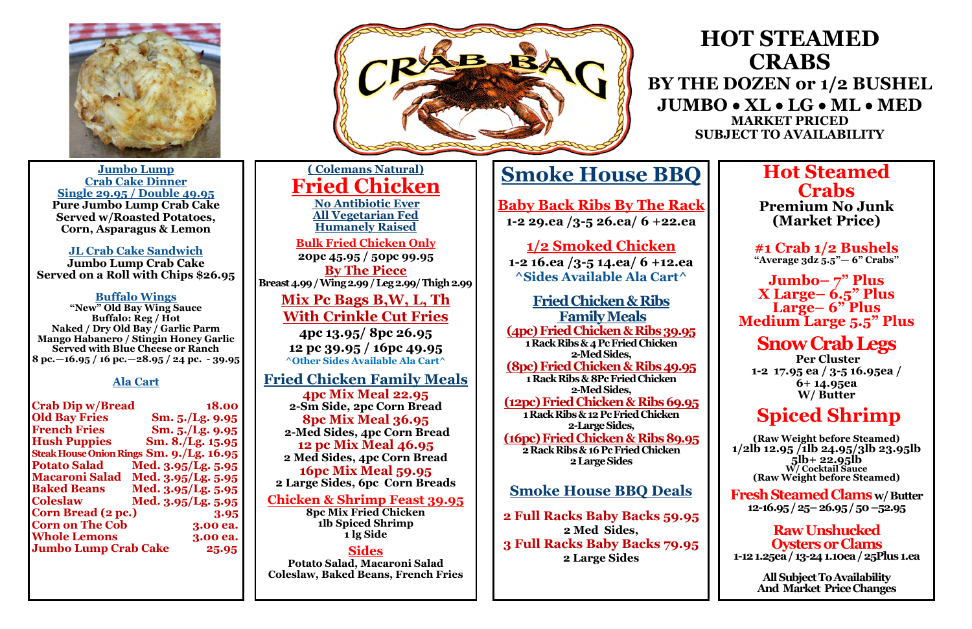

**Jumbo Lump Crab Cake Dinner Single 29.95 / Double 49.95 Pure Jumbo Lump Crab Cake Served w/Roasted Potatoes, Corn, Asparagus & Lemon**

#### **JL Crab Cake Sandwich**

**Jumbo Lump Crab Cake Served on a Roll with Chips \$26.95**

#### **Buffalo Wings**

**"New" Old Bay Wing Sauce Buffalo: Reg / Hot Naked / Dry Old Bay / Garlic Parm Mango Habanero / Stingin Honey Garlic Served with Blue Cheese or Ranch 8 pc.—16.95 / 16 pc.—28.95 / 24 pc. - 39.95**

#### **Ala Cart**

| <b>Crab Dip w/Bread</b>                  |                      | 18.00             |
|------------------------------------------|----------------------|-------------------|
| <b>Old Bay Fries</b>                     |                      | Sm. $5./Lg.$ 9.95 |
| <b>French Fries</b>                      |                      | Sm. 5./Lg. 9.95   |
| <b>Hush Puppies</b>                      |                      | Sm. 8./Lg. 15.95  |
| Steak House Onion Rings Sm. 9./Lg. 16.95 |                      |                   |
| <b>Potato Salad</b>                      | Med. 3.95/Lg. 5.95   |                   |
| <b>Macaroni Salad</b>                    | Med. $3.95/Lg. 5.95$ |                   |
| <b>Baked Beans</b>                       | Med. 3.95/Lg. 5.95   |                   |
| <b>Coleslaw</b>                          | Med. 3.95/Lg. 5.95   |                   |
| <b>Corn Bread (2 pc.)</b>                |                      | 3.95              |
| <b>Corn on The Cob</b>                   |                      | 3.00 ea.          |
| <b>Whole Lemons</b>                      |                      | 3.00 ea.          |
| <b>Jumbo Lump Crab Cake</b>              |                      | 25.95             |

### **Hot Steamed Crabs**

**Premium No Junk (Market Price)**

**#1 Crab 1/2 Bushels "Average 3dz 5.5"— 6" Crabs"**

**Jumbo– 7" Plus X Large– 6.5" Plus Large– 6" Plus Medium Large 5.5" Plus**

### **Snow Crab Legs**

**Per Cluster 1-2 17.95 ea / 3-5 16.95ea / 6+ 14.95ea W/ Butter**

### **Spiced Shrimp**

**(Raw Weight before Steamed) 1/2lb 12.95 /1lb 24.95/3lb 23.95lb 5lb+ 22.95lb W/ Cocktail Sauce (Raw Weight before Steamed)** 

**Fresh Steamed Clams w/ Butter 12-16.95 / 25–26.95 / 50 –52.95**

**Raw Unshucked Oysters or Clams 1-12 1.25ea / 13-24 1.10ea / 25Plus 1.ea**

> **All Subject To Availability And Market Price Changes**

# **Smoke House BBQ**

**Baby Back Ribs By The Rack 1-2 29.ea /3-5 26.ea/ 6 +22.ea**

### **1/2 Smoked Chicken**

**1-2 16.ea /3-5 14.ea/ 6 +12.ea ^Sides Available Ala Cart^**

**Fried Chicken & Ribs Family Meals (4pc) Fried Chicken & Ribs 39.95**

**1 Rack Ribs & 4 Pc Fried Chicken 2-Med Sides,** 

**(8pc) Fried Chicken & Ribs 49.95 1 Rack Ribs & 8Pc Fried Chicken**

**2-Med Sides, (12pc) Fried Chicken & Ribs 69.95 1 Rack Ribs & 12 Pc Fried Chicken**

**2-Large Sides, (16pc) Fried Chicken & Ribs 89.95 2 Rack Ribs & 16 Pc Fried Chicken 2 Large Sides**

#### **Smoke House BBQ Deals**

**2 Full Racks Baby Backs 59.95 2 Med Sides, 3 Full Racks Baby Backs 79.95 2 Large Sides**

## **HOT STEAMED CRABS**

**BY THE DOZEN or 1/2 BUSHEL JUMBO** • **XL** • **LG** • **ML** • **MED MARKET PRICED SUBJECT TO AVAILABILITY**

**( Colemans Natural) Fried Chicken No Antibiotic Ever All Vegetarian Fed Humanely Raised**

**Bulk Fried Chicken Only 20pc 45.95 / 50pc 99.95 By The Piece**

**Breast 4.99 / Wing 2.99 / Leg 2.99/ Thigh 2.99**

**Mix Pc Bags B,W, L, Th With Crinkle Cut Fries**

**4pc 13.95/ 8pc 26.95 12 pc 39.95 / 16pc 49.95 ^Other Sides Available Ala Cart^**

**Fried Chicken Family Meals 4pc Mix Meal 22.95 2-Sm Side, 2pc Corn Bread 8pc Mix Meal 36.95 2-Med Sides, 4pc Corn Bread 12 pc Mix Meal 46.95 2 Med Sides, 4pc Corn Bread 16pc Mix Meal 59.95 2 Large Sides, 6pc Corn Breads**

#### **Chicken & Shrimp Feast 39.95**

**8pc Mix Fried Chicken 1lb Spiced Shrimp 1 lg Side**

**Sides Potato Salad, Macaroni Salad Coleslaw, Baked Beans, French Fries**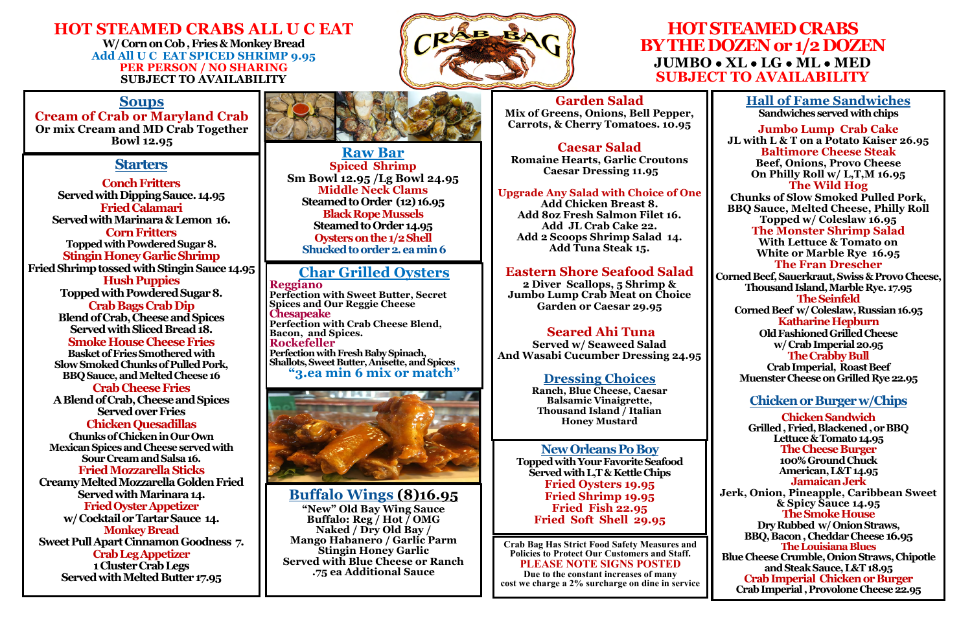#### **HOT STEAMED CRABS ALL U C EAT W/ Corn on Cob , Fries & Monkey Bread Add All U C EAT SPICED SHRIMP 9.95 PER PERSON / NO SHARING SUBJECT TO AVAILABILITY**



### **HOT STEAMED CRABS BY THE DOZEN or 1/2 DOZEN JUMBO** • **XL** • **LG** • **ML** • **MED SUBJECT TO AVAILABILITY**

#### **Starters**

**Conch Fritters Served with Dipping Sauce. 14.95 Fried Calamari Served with Marinara & Lemon 16. Corn Fritters Topped with Powdered Sugar 8. Stingin Honey Garlic Shrimp Fried Shrimp tossed with Stingin Sauce 14.95 Hush Puppies Topped with Powdered Sugar 8. Crab Bags Crab Dip Blend of Crab, Cheese and Spices Served with Sliced Bread 18. Smoke House Cheese Fries Basket of Fries Smothered with Slow Smoked Chunks of Pulled Pork, BBQ Sauce, and Melted Cheese 16 Crab Cheese Fries A Blend of Crab, Cheese and Spices Served over Fries Chicken Quesadillas Chunks of Chicken in Our Own Mexican Spices and Cheese served with Sour Cream and Salsa 16. Fried Mozzarella Sticks Creamy Melted Mozzarella Golden Fried Served with Marinara 14. Fried Oyster Appetizer w/ Cocktail or Tartar Sauce 14. Monkey Bread Sweet Pull Apart Cinnamon Goodness 7. Crab Leg Appetizer 1 Cluster Crab Legs Served with Melted Butter 17.95**



#### **Garden Salad**

**Mix of Greens, Onions, Bell Pepper, Carrots, & Cherry Tomatoes. 10.95** 

**Caesar Salad Romaine Hearts, Garlic Croutons Caesar Dressing 11.95** 

#### **Upgrade Any Salad with Choice of One**

**Add Chicken Breast 8. Add 8oz Fresh Salmon Filet 16. Add JL Crab Cake 22. Add 2 Scoops Shrimp Salad 14. Add Tuna Steak 15.**

#### **Eastern Shore Seafood Salad**

**2 Diver Scallops, 5 Shrimp & Jumbo Lump Crab Meat on Choice Garden or Caesar 29.95**

#### **Seared Ahi Tuna**

**Served w/ Seaweed Salad And Wasabi Cucumber Dressing 24.95**

#### **Dressing Choices**

**Ranch, Blue Cheese, Caesar Balsamic Vinaigrette, Thousand Island / Italian Honey Mustard**

**Hall of Fame Sandwiches Sandwiches served with chips**

**Jumbo Lump Crab Cake JL with L & T on a Potato Kaiser 26.95 Baltimore Cheese Steak Beef, Onions, Provo Cheese On Philly Roll w/ L,T,M 16.95 The Wild Hog Chunks of Slow Smoked Pulled Pork, BBQ Sauce, Melted Cheese, Philly Roll Topped w/ Coleslaw 16.95 The Monster Shrimp Salad With Lettuce & Tomato on White or Marble Rye 16.95 The Fran Drescher Corned Beef, Sauerkraut, Swiss & Provo Cheese, Thousand Island, Marble Rye. 17.95 The Seinfeld Corned Beef w/ Coleslaw, Russian 16.95 Katharine Hepburn Old Fashioned Grilled Cheese w/ Crab Imperial 20.95 The Crabby Bull Crab Imperial, Roast Beef Muenster Cheese on Grilled Rye 22.95**

#### **Chicken or Burger w/Chips**

**Chicken Sandwich Grilled , Fried, Blackened , or BBQ Lettuce & Tomato 14.95 The Cheese Burger 100% Ground Chuck American, L&T 14.95 Jamaican Jerk Jerk, Onion, Pineapple, Caribbean Sweet & Spicy Sauce 14.95 The Smoke House Dry Rubbed w/ Onion Straws, BBQ, Bacon , Cheddar Cheese 16.95 The Louisiana Blues Blue Cheese Crumble, Onion Straws, Chipotle and Steak Sauce, L&T 18.95 Crab Imperial Chicken or Burger Crab Imperial , Provolone Cheese 22.95** 

**Crab Bag Has Strict Food Safety Measures and Policies to Protect Our Customers and Staff. PLEASE NOTE SIGNS POSTED**

**Due to the constant increases of many cost we charge a 2% surcharge on dine in service**

**Buffalo Wings (8)16.95 "New" Old Bay Wing Sauce Buffalo: Reg / Hot / OMG Naked / Dry Old Bay / Mango Habanero / Garlic Parm Stingin Honey Garlic Served with Blue Cheese or Ranch .75 ea Additional Sauce**

#### **Char Grilled Oysters**

**Reggiano Perfection with Sweet Butter, Secret Spices and Our Reggie Cheese Chesapeake Perfection with Crab Cheese Blend, Bacon, and Spices. Rockefeller Perfection with Fresh Baby Spinach, Shallots, Sweet Butter, Anisette, and Spices "3.ea min 6 mix or match"**



**Raw Bar Spiced Shrimp Sm Bowl 12.95 /Lg Bowl 24.95 Middle Neck Clams Steamed to Order (12) 16.95 Black Rope Mussels Steamed to Order 14.95 Oysters on the 1/2 Shell Shucked to order 2. ea min 6**

#### **Soups**

**Cream of Crab or Maryland Crab Or mix Cream and MD Crab Together Bowl 12.95**

#### **New Orleans Po Boy**

**Topped with Your Favorite Seafood Served with L,T & Kettle Chips Fried Oysters 19.95 Fried Shrimp 19.95 Fried Fish 22.95 Fried Soft Shell 29.95**